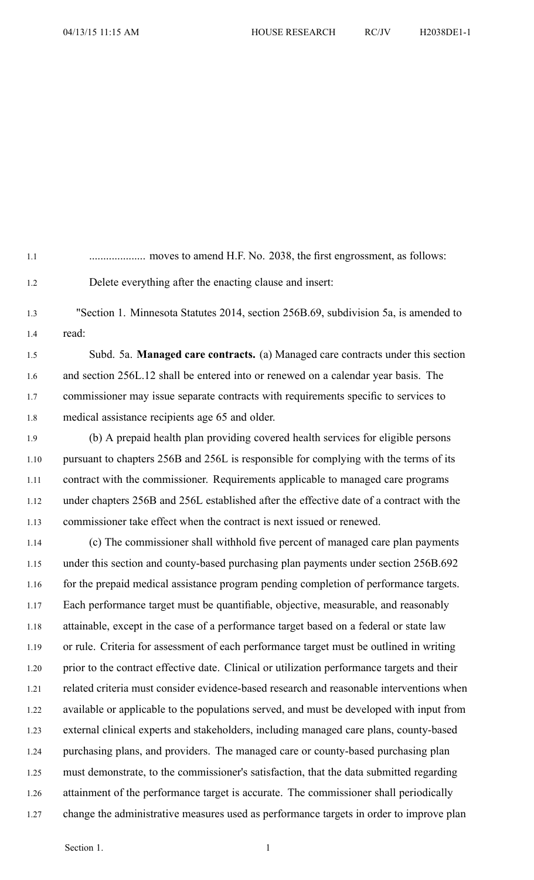1.1 .................... moves to amend H.F. No. 2038, the first engrossment, as follows: 1.2 Delete everything after the enacting clause and insert: 1.3 "Section 1. Minnesota Statutes 2014, section 256B.69, subdivision 5a, is amended to 1.4 read: 1.5 Subd. 5a. **Managed care contracts.** (a) Managed care contracts under this section 1.6 and section 256L.12 shall be entered into or renewed on <sup>a</sup> calendar year basis. The 1.7 commissioner may issue separate contracts with requirements specific to services to 1.8 medical assistance recipients age 65 and older. 1.9 (b) A prepaid health plan providing covered health services for eligible persons 1.10 pursuan<sup>t</sup> to chapters 256B and 256L is responsible for complying with the terms of its 1.11 contract with the commissioner. Requirements applicable to managed care programs 1.12 under chapters 256B and 256L established after the effective date of <sup>a</sup> contract with the 1.13 commissioner take effect when the contract is next issued or renewed. 1.14 (c) The commissioner shall withhold five percen<sup>t</sup> of managed care plan payments 1.15 under this section and county-based purchasing plan payments under section 256B.692 1.16 for the prepaid medical assistance program pending completion of performance targets. 1.17 Each performance target must be quantifiable, objective, measurable, and reasonably 1.18 attainable, excep<sup>t</sup> in the case of <sup>a</sup> performance target based on <sup>a</sup> federal or state law 1.19 or rule. Criteria for assessment of each performance target must be outlined in writing 1.20 prior to the contract effective date. Clinical or utilization performance targets and their 1.21 related criteria must consider evidence-based research and reasonable interventions when 1.22 available or applicable to the populations served, and must be developed with input from 1.23 external clinical experts and stakeholders, including managed care plans, county-based 1.24 purchasing plans, and providers. The managed care or county-based purchasing plan 1.25 must demonstrate, to the commissioner's satisfaction, that the data submitted regarding

- 1.26 attainment of the performance target is accurate. The commissioner shall periodically
- 1.27 change the administrative measures used as performance targets in order to improve plan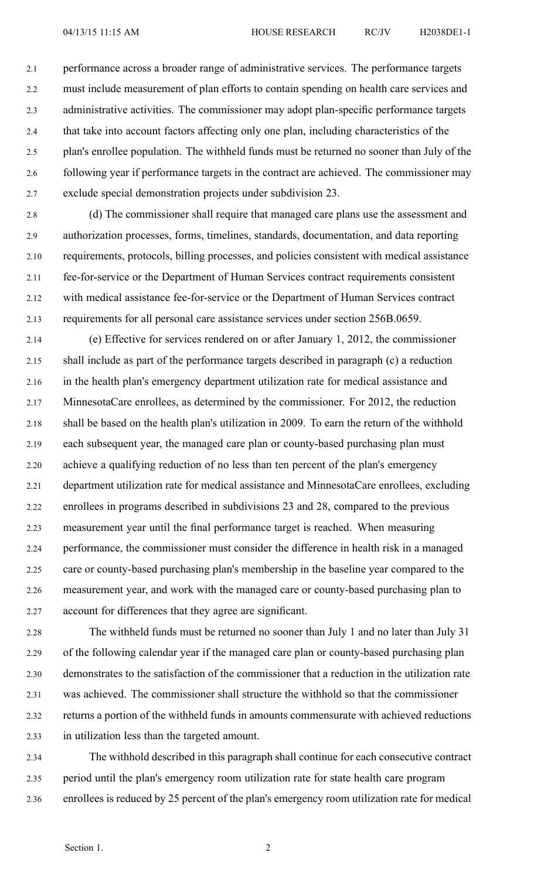2.1 performance across <sup>a</sup> broader range of administrative services. The performance targets 2.2 must include measurement of plan efforts to contain spending on health care services and 2.3 administrative activities. The commissioner may adopt plan-specific performance targets 2.4 that take into account factors affecting only one plan, including characteristics of the 2.5 plan's enrollee population. The withheld funds must be returned no sooner than July of the 2.6 following year if performance targets in the contract are achieved. The commissioner may 2.7 exclude special demonstration projects under subdivision 23.

2.8 (d) The commissioner shall require that managed care plans use the assessment and 2.9 authorization processes, forms, timelines, standards, documentation, and data reporting 2.10 requirements, protocols, billing processes, and policies consistent with medical assistance 2.11 fee-for-service or the Department of Human Services contract requirements consistent 2.12 with medical assistance fee-for-service or the Department of Human Services contract 2.13 requirements for all personal care assistance services under section 256B.0659.

2.14 (e) Effective for services rendered on or after January 1, 2012, the commissioner 2.15 shall include as par<sup>t</sup> of the performance targets described in paragraph (c) <sup>a</sup> reduction 2.16 in the health plan's emergency department utilization rate for medical assistance and 2.17 MinnesotaCare enrollees, as determined by the commissioner. For 2012, the reduction 2.18 shall be based on the health plan's utilization in 2009. To earn the return of the withhold 2.19 each subsequent year, the managed care plan or county-based purchasing plan must 2.20 achieve <sup>a</sup> qualifying reduction of no less than ten percen<sup>t</sup> of the plan's emergency 2.21 department utilization rate for medical assistance and MinnesotaCare enrollees, excluding 2.22 enrollees in programs described in subdivisions 23 and 28, compared to the previous 2.23 measurement year until the final performance target is reached. When measuring 2.24 performance, the commissioner must consider the difference in health risk in <sup>a</sup> managed 2.25 care or county-based purchasing plan's membership in the baseline year compared to the 2.26 measurement year, and work with the managed care or county-based purchasing plan to 2.27 account for differences that they agree are significant.

2.28 The withheld funds must be returned no sooner than July 1 and no later than July 31 2.29 of the following calendar year if the managed care plan or county-based purchasing plan 2.30 demonstrates to the satisfaction of the commissioner that <sup>a</sup> reduction in the utilization rate 2.31 was achieved. The commissioner shall structure the withhold so that the commissioner 2.32 returns <sup>a</sup> portion of the withheld funds in amounts commensurate with achieved reductions 2.33 in utilization less than the targeted amount.

2.34 The withhold described in this paragraph shall continue for each consecutive contract 2.35 period until the plan's emergency room utilization rate for state health care program 2.36 enrollees is reduced by 25 percen<sup>t</sup> of the plan's emergency room utilization rate for medical

## Section 1. 2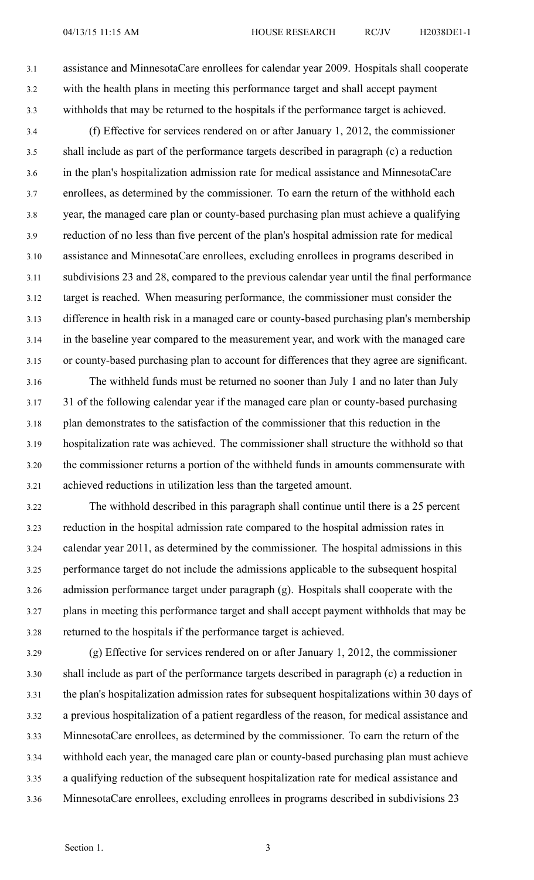3.1 assistance and MinnesotaCare enrollees for calendar year 2009. Hospitals shall cooperate 3.2 with the health plans in meeting this performance target and shall accep<sup>t</sup> paymen<sup>t</sup> 3.3 withholds that may be returned to the hospitals if the performance target is achieved.

3.4 (f) Effective for services rendered on or after January 1, 2012, the commissioner 3.5 shall include as par<sup>t</sup> of the performance targets described in paragraph (c) <sup>a</sup> reduction 3.6 in the plan's hospitalization admission rate for medical assistance and MinnesotaCare 3.7 enrollees, as determined by the commissioner. To earn the return of the withhold each 3.8 year, the managed care plan or county-based purchasing plan must achieve <sup>a</sup> qualifying 3.9 reduction of no less than five percen<sup>t</sup> of the plan's hospital admission rate for medical 3.10 assistance and MinnesotaCare enrollees, excluding enrollees in programs described in 3.11 subdivisions 23 and 28, compared to the previous calendar year until the final performance 3.12 target is reached. When measuring performance, the commissioner must consider the 3.13 difference in health risk in <sup>a</sup> managed care or county-based purchasing plan's membership 3.14 in the baseline year compared to the measurement year, and work with the managed care 3.15 or county-based purchasing plan to account for differences that they agree are significant.

3.16 The withheld funds must be returned no sooner than July 1 and no later than July 3.17 31 of the following calendar year if the managed care plan or county-based purchasing 3.18 plan demonstrates to the satisfaction of the commissioner that this reduction in the 3.19 hospitalization rate was achieved. The commissioner shall structure the withhold so that 3.20 the commissioner returns <sup>a</sup> portion of the withheld funds in amounts commensurate with 3.21 achieved reductions in utilization less than the targeted amount.

3.22 The withhold described in this paragraph shall continue until there is <sup>a</sup> 25 percen<sup>t</sup> 3.23 reduction in the hospital admission rate compared to the hospital admission rates in 3.24 calendar year 2011, as determined by the commissioner. The hospital admissions in this 3.25 performance target do not include the admissions applicable to the subsequent hospital 3.26 admission performance target under paragraph (g). Hospitals shall cooperate with the 3.27 plans in meeting this performance target and shall accep<sup>t</sup> paymen<sup>t</sup> withholds that may be 3.28 returned to the hospitals if the performance target is achieved.

3.29 (g) Effective for services rendered on or after January 1, 2012, the commissioner 3.30 shall include as par<sup>t</sup> of the performance targets described in paragraph (c) <sup>a</sup> reduction in 3.31 the plan's hospitalization admission rates for subsequent hospitalizations within 30 days of 3.32 <sup>a</sup> previous hospitalization of <sup>a</sup> patient regardless of the reason, for medical assistance and 3.33 MinnesotaCare enrollees, as determined by the commissioner. To earn the return of the 3.34 withhold each year, the managed care plan or county-based purchasing plan must achieve 3.35 <sup>a</sup> qualifying reduction of the subsequent hospitalization rate for medical assistance and 3.36 MinnesotaCare enrollees, excluding enrollees in programs described in subdivisions 23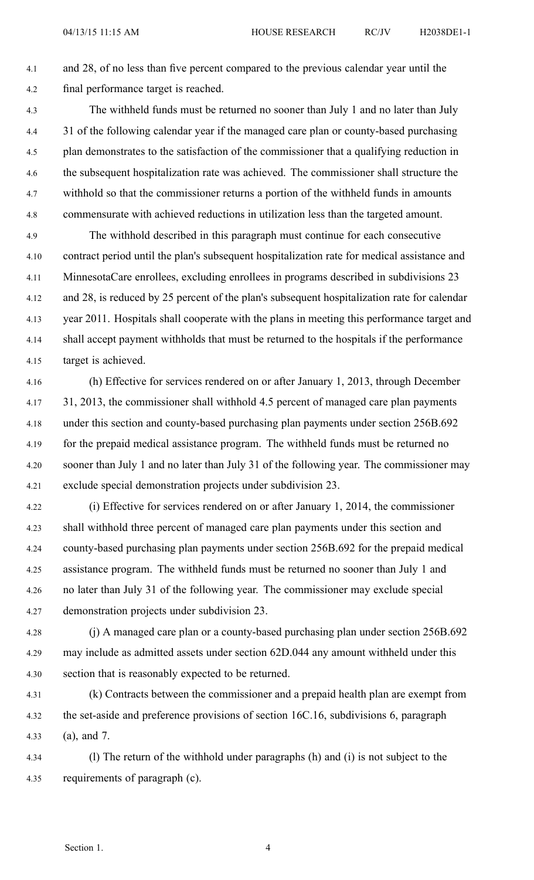4.1 and 28, of no less than five percen<sup>t</sup> compared to the previous calendar year until the 4.2 final performance target is reached.

- 4.3 The withheld funds must be returned no sooner than July 1 and no later than July 4.4 31 of the following calendar year if the managed care plan or county-based purchasing 4.5 plan demonstrates to the satisfaction of the commissioner that <sup>a</sup> qualifying reduction in 4.6 the subsequent hospitalization rate was achieved. The commissioner shall structure the 4.7 withhold so that the commissioner returns <sup>a</sup> portion of the withheld funds in amounts 4.8 commensurate with achieved reductions in utilization less than the targeted amount.
- 4.9 The withhold described in this paragraph must continue for each consecutive 4.10 contract period until the plan's subsequent hospitalization rate for medical assistance and 4.11 MinnesotaCare enrollees, excluding enrollees in programs described in subdivisions 23 4.12 and 28, is reduced by 25 percen<sup>t</sup> of the plan's subsequent hospitalization rate for calendar 4.13 year 2011. Hospitals shall cooperate with the plans in meeting this performance target and 4.14 shall accep<sup>t</sup> paymen<sup>t</sup> withholds that must be returned to the hospitals if the performance 4.15 target is achieved.
- 4.16 (h) Effective for services rendered on or after January 1, 2013, through December 4.17 31, 2013, the commissioner shall withhold 4.5 percen<sup>t</sup> of managed care plan payments 4.18 under this section and county-based purchasing plan payments under section 256B.692 4.19 for the prepaid medical assistance program. The withheld funds must be returned no 4.20 sooner than July 1 and no later than July 31 of the following year. The commissioner may 4.21 exclude special demonstration projects under subdivision 23.
- 4.22 (i) Effective for services rendered on or after January 1, 2014, the commissioner 4.23 shall withhold three percen<sup>t</sup> of managed care plan payments under this section and 4.24 county-based purchasing plan payments under section 256B.692 for the prepaid medical 4.25 assistance program. The withheld funds must be returned no sooner than July 1 and 4.26 no later than July 31 of the following year. The commissioner may exclude special 4.27 demonstration projects under subdivision 23.
- 4.28 (j) A managed care plan or <sup>a</sup> county-based purchasing plan under section 256B.692 4.29 may include as admitted assets under section 62D.044 any amount withheld under this 4.30 section that is reasonably expected to be returned.
- 4.31 (k) Contracts between the commissioner and <sup>a</sup> prepaid health plan are exemp<sup>t</sup> from 4.32 the set-aside and preference provisions of section 16C.16, subdivisions 6, paragraph 4.33 (a), and 7.
- 4.34 (l) The return of the withhold under paragraphs (h) and (i) is not subject to the 4.35 requirements of paragraph (c).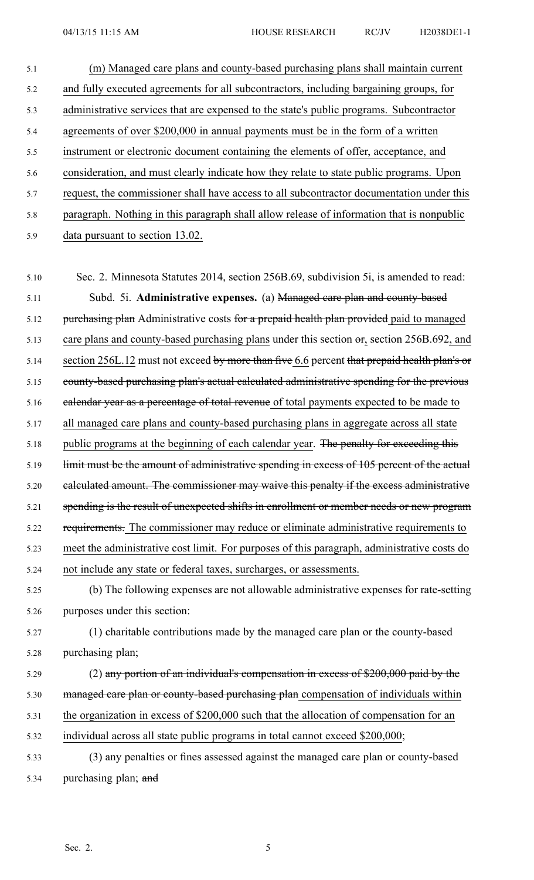- 5.1 (m) Managed care plans and county-based purchasing plans shall maintain current 5.2 and fully executed agreements for all subcontractors, including bargaining groups, for 5.3 administrative services that are expensed to the state's public programs. Subcontractor 5.4 agreements of over \$200,000 in annual payments must be in the form of <sup>a</sup> written 5.5 instrument or electronic document containing the elements of offer, acceptance, and 5.6 consideration, and must clearly indicate how they relate to state public programs. Upon 5.7 request, the commissioner shall have access to all subcontractor documentation under this 5.8 paragraph. Nothing in this paragraph shall allow release of information that is nonpublic 5.9 data pursuan<sup>t</sup> to section 13.02. 5.10 Sec. 2. Minnesota Statutes 2014, section 256B.69, subdivision 5i, is amended to read: 5.11 Subd. 5i. **Administrative expenses.** (a) Managed care plan and county-based 5.12 purchasing plan Administrative costs for a prepaid health plan provided paid to managed 5.13 care plans and county-based purchasing plans under this section  $\sigma$ , section 256B.692, and 5.14 section 256L.12 must not exceed by more than five 6.6 percent that prepaid health plan's or 5.15 county-based purchasing plan's actual calculated administrative spending for the previous 5.16 ealendar year as a percentage of total revenue of total payments expected to be made to 5.17 all managed care plans and county-based purchasing plans in aggregate across all state 5.18 public programs at the beginning of each calendar year. The penalty for exceeding this 5.19 limit must be the amount of administrative spending in excess of 105 percen<sup>t</sup> of the actual 5.20 calculated amount. The commissioner may waive this penalty if the excess administrative
- 5.21 spending is the result of unexpected shifts in enrollment or member needs or new program
- 5.22 requirements. The commissioner may reduce or eliminate administrative requirements to
- 5.23 meet the administrative cost limit. For purposes of this paragraph, administrative costs do
- 5.24 not include any state or federal taxes, surcharges, or assessments.
- 5.25 (b) The following expenses are not allowable administrative expenses for rate-setting 5.26 purposes under this section:
- 5.27 (1) charitable contributions made by the managed care plan or the county-based 5.28 purchasing plan;
- 5.29 (2) any portion of an individual's compensation in excess of \$200,000 paid by the 5.30 managed care plan or county-based purchasing plan compensation of individuals within 5.31 the organization in excess of \$200,000 such that the allocation of compensation for an 5.32 individual across all state public programs in total cannot exceed \$200,000;
- 5.33 (3) any penalties or fines assessed against the managed care plan or county-based 5.34 purchasing plan; and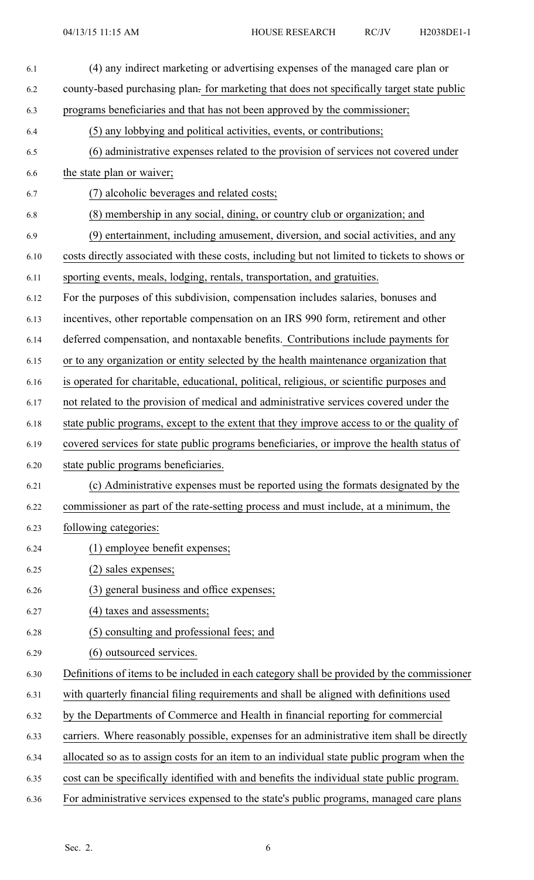| 6.1  | (4) any indirect marketing or advertising expenses of the managed care plan or               |
|------|----------------------------------------------------------------------------------------------|
| 6.2  | county-based purchasing plan- for marketing that does not specifically target state public   |
| 6.3  | programs beneficiaries and that has not been approved by the commissioner;                   |
| 6.4  | (5) any lobbying and political activities, events, or contributions;                         |
| 6.5  | (6) administrative expenses related to the provision of services not covered under           |
| 6.6  | the state plan or waiver;                                                                    |
| 6.7  | (7) alcoholic beverages and related costs;                                                   |
| 6.8  | (8) membership in any social, dining, or country club or organization; and                   |
| 6.9  | (9) entertainment, including amusement, diversion, and social activities, and any            |
| 6.10 | costs directly associated with these costs, including but not limited to tickets to shows or |
| 6.11 | sporting events, meals, lodging, rentals, transportation, and gratuities.                    |
| 6.12 | For the purposes of this subdivision, compensation includes salaries, bonuses and            |
| 6.13 | incentives, other reportable compensation on an IRS 990 form, retirement and other           |
| 6.14 | deferred compensation, and nontaxable benefits. Contributions include payments for           |
| 6.15 | or to any organization or entity selected by the health maintenance organization that        |
| 6.16 | is operated for charitable, educational, political, religious, or scientific purposes and    |
| 6.17 | not related to the provision of medical and administrative services covered under the        |
| 6.18 | state public programs, except to the extent that they improve access to or the quality of    |
| 6.19 | covered services for state public programs beneficiaries, or improve the health status of    |
| 6.20 | state public programs beneficiaries.                                                         |
| 6.21 | (c) Administrative expenses must be reported using the formats designated by the             |
| 6.22 | commissioner as part of the rate-setting process and must include, at a minimum, the         |
| 6.23 | following categories:                                                                        |
| 6.24 | (1) employee benefit expenses;                                                               |
| 6.25 | (2) sales expenses;                                                                          |
| 6.26 | (3) general business and office expenses;                                                    |
| 6.27 | (4) taxes and assessments;                                                                   |
| 6.28 | (5) consulting and professional fees; and                                                    |
| 6.29 | (6) outsourced services.                                                                     |
| 6.30 | Definitions of items to be included in each category shall be provided by the commissioner   |
| 6.31 | with quarterly financial filing requirements and shall be aligned with definitions used      |
| 6.32 | by the Departments of Commerce and Health in financial reporting for commercial              |
| 6.33 | carriers. Where reasonably possible, expenses for an administrative item shall be directly   |
| 6.34 | allocated so as to assign costs for an item to an individual state public program when the   |
| 6.35 | cost can be specifically identified with and benefits the individual state public program.   |
| 6.36 | For administrative services expensed to the state's public programs, managed care plans      |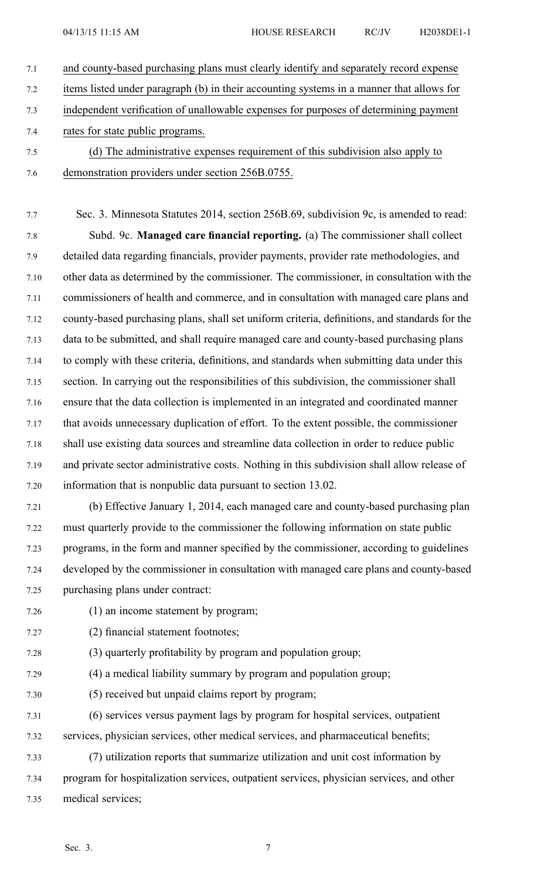- 7.1 and county-based purchasing plans must clearly identify and separately record expense 7.2 items listed under paragraph (b) in their accounting systems in <sup>a</sup> manner that allows for 7.3 independent verification of unallowable expenses for purposes of determining paymen<sup>t</sup> 7.4 rates for state public programs. 7.5 (d) The administrative expenses requirement of this subdivision also apply to
- 7.6 demonstration providers under section 256B.0755.

7.7 Sec. 3. Minnesota Statutes 2014, section 256B.69, subdivision 9c, is amended to read: 7.8 Subd. 9c. **Managed care financial reporting.** (a) The commissioner shall collect 7.9 detailed data regarding financials, provider payments, provider rate methodologies, and 7.10 other data as determined by the commissioner. The commissioner, in consultation with the 7.11 commissioners of health and commerce, and in consultation with managed care plans and 7.12 county-based purchasing plans, shall set uniform criteria, definitions, and standards for the 7.13 data to be submitted, and shall require managed care and county-based purchasing plans 7.14 to comply with these criteria, definitions, and standards when submitting data under this 7.15 section. In carrying out the responsibilities of this subdivision, the commissioner shall 7.16 ensure that the data collection is implemented in an integrated and coordinated manner 7.17 that avoids unnecessary duplication of effort. To the extent possible, the commissioner 7.18 shall use existing data sources and streamline data collection in order to reduce public 7.19 and private sector administrative costs. Nothing in this subdivision shall allow release of 7.20 information that is nonpublic data pursuan<sup>t</sup> to section 13.02.

- 7.21 (b) Effective January 1, 2014, each managed care and county-based purchasing plan 7.22 must quarterly provide to the commissioner the following information on state public 7.23 programs, in the form and manner specified by the commissioner, according to guidelines 7.24 developed by the commissioner in consultation with managed care plans and county-based 7.25 purchasing plans under contract:
- 7.26 (1) an income statement by program;
- 7.27 (2) financial statement footnotes;
- 7.28 (3) quarterly profitability by program and population group;
- 7.29 (4) <sup>a</sup> medical liability summary by program and population group;
- 7.30 (5) received but unpaid claims repor<sup>t</sup> by program;
- 7.31 (6) services versus paymen<sup>t</sup> lags by program for hospital services, outpatient 7.32 services, physician services, other medical services, and pharmaceutical benefits;
- 7.33 (7) utilization reports that summarize utilization and unit cost information by 7.34 program for hospitalization services, outpatient services, physician services, and other 7.35 medical services;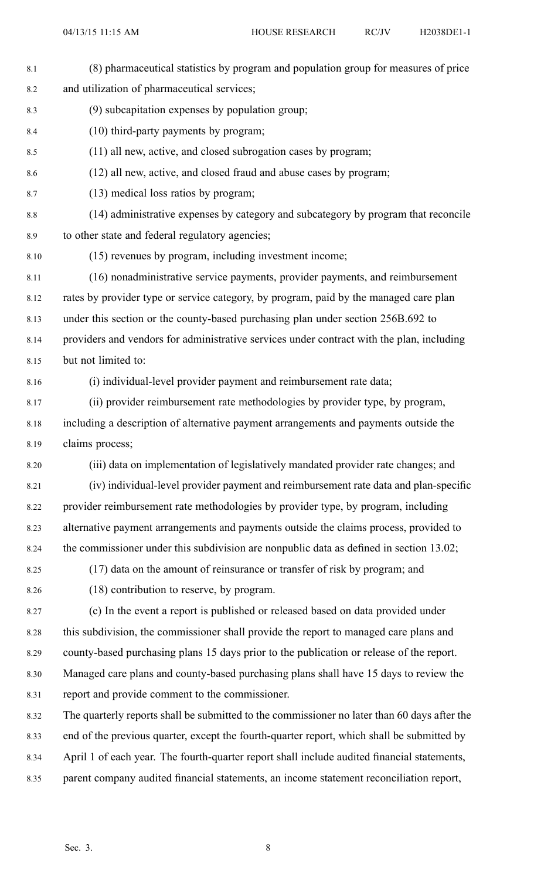| 8.1  | (8) pharmaceutical statistics by program and population group for measures of price          |
|------|----------------------------------------------------------------------------------------------|
| 8.2  | and utilization of pharmaceutical services;                                                  |
| 8.3  | (9) subcapitation expenses by population group;                                              |
| 8.4  | (10) third-party payments by program;                                                        |
| 8.5  | (11) all new, active, and closed subrogation cases by program;                               |
| 8.6  | (12) all new, active, and closed fraud and abuse cases by program;                           |
| 8.7  | (13) medical loss ratios by program;                                                         |
| 8.8  | (14) administrative expenses by category and subcategory by program that reconcile           |
| 8.9  | to other state and federal regulatory agencies;                                              |
| 8.10 | (15) revenues by program, including investment income;                                       |
| 8.11 | (16) nonadministrative service payments, provider payments, and reimbursement                |
| 8.12 | rates by provider type or service category, by program, paid by the managed care plan        |
| 8.13 | under this section or the county-based purchasing plan under section 256B.692 to             |
| 8.14 | providers and vendors for administrative services under contract with the plan, including    |
| 8.15 | but not limited to:                                                                          |
| 8.16 | (i) individual-level provider payment and reimbursement rate data;                           |
| 8.17 | (ii) provider reimbursement rate methodologies by provider type, by program,                 |
| 8.18 | including a description of alternative payment arrangements and payments outside the         |
| 8.19 | claims process;                                                                              |
| 8.20 | (iii) data on implementation of legislatively mandated provider rate changes; and            |
| 8.21 | (iv) individual-level provider payment and reimbursement rate data and plan-specific         |
| 8.22 | provider reimbursement rate methodologies by provider type, by program, including            |
| 8.23 | alternative payment arrangements and payments outside the claims process, provided to        |
| 8.24 | the commissioner under this subdivision are nonpublic data as defined in section 13.02;      |
| 8.25 | (17) data on the amount of reinsurance or transfer of risk by program; and                   |
| 8.26 | (18) contribution to reserve, by program.                                                    |
| 8.27 | (c) In the event a report is published or released based on data provided under              |
| 8.28 | this subdivision, the commissioner shall provide the report to managed care plans and        |
| 8.29 | county-based purchasing plans 15 days prior to the publication or release of the report.     |
| 8.30 | Managed care plans and county-based purchasing plans shall have 15 days to review the        |
| 8.31 | report and provide comment to the commissioner.                                              |
| 8.32 | The quarterly reports shall be submitted to the commissioner no later than 60 days after the |
| 8.33 | end of the previous quarter, except the fourth-quarter report, which shall be submitted by   |
| 8.34 | April 1 of each year. The fourth-quarter report shall include audited financial statements,  |
| 8.35 | parent company audited financial statements, an income statement reconciliation report,      |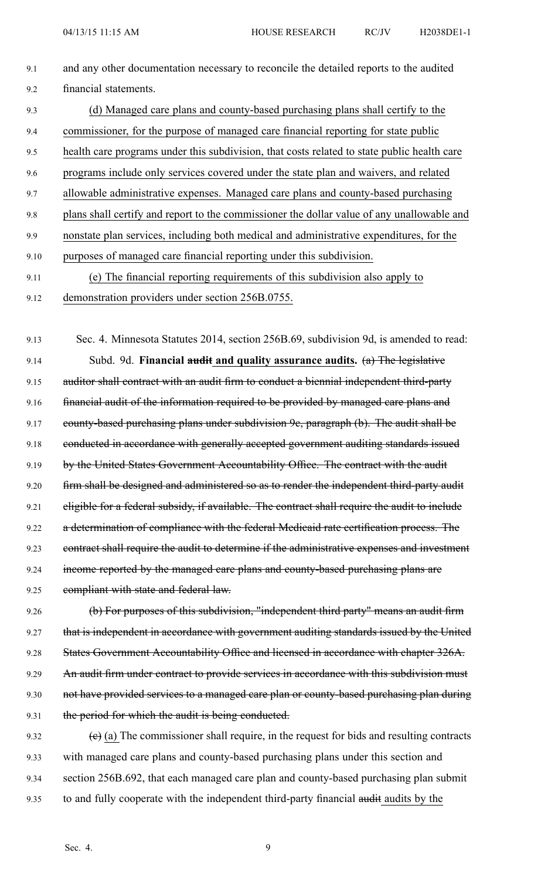9.1 and any other documentation necessary to reconcile the detailed reports to the audited 9.2 financial statements. 9.3 (d) Managed care plans and county-based purchasing plans shall certify to the 9.4 commissioner, for the purpose of managed care financial reporting for state public 9.5 health care programs under this subdivision, that costs related to state public health care 9.6 programs include only services covered under the state plan and waivers, and related 9.7 allowable administrative expenses. Managed care plans and county-based purchasing 9.8 plans shall certify and repor<sup>t</sup> to the commissioner the dollar value of any unallowable and 9.9 nonstate plan services, including both medical and administrative expenditures, for the 9.10 purposes of managed care financial reporting under this subdivision. 9.11 (e) The financial reporting requirements of this subdivision also apply to 9.12 demonstration providers under section 256B.0755.

9.13 Sec. 4. Minnesota Statutes 2014, section 256B.69, subdivision 9d, is amended to read: 9.14 Subd. 9d. **Financial audit and quality assurance audits.** (a) The legislative 9.15 auditor shall contract with an audit firm to conduct a biennial independent third-party 9.16 financial audit of the information required to be provided by managed care plans and 9.17 county-based purchasing plans under subdivision 9c, paragraph (b). The audit shall be 9.18 conducted in accordance with generally accepted government auditing standards issued 9.19 by the United States Government Accountability Office. The contract with the audit 9.20 firm shall be designed and administered so as to render the independent third-party audit 9.21 eligible for a federal subsidy, if available. The contract shall require the audit to include 9.22 a determination of compliance with the federal Medicaid rate certification process. The 9.23 contract shall require the audit to determine if the administrative expenses and investment 9.24 income reported by the managed care plans and county-based purchasing plans are 9.25 compliant with state and federal law.

9.26 (b) For purposes of this subdivision, "independent third party" means an audit firm 9.27 that is independent in accordance with government auditing standards issued by the United 9.28 States Government Accountability Office and licensed in accordance with chapter 326A. 9.29 An audit firm under contract to provide services in accordance with this subdivision must 9.30 not have provided services to a managed care plan or county-based purchasing plan during 9.31 the period for which the audit is being conducted.

9.32 (c) (a) The commissioner shall require, in the request for bids and resulting contracts 9.33 with managed care plans and county-based purchasing plans under this section and 9.34 section 256B.692, that each managed care plan and county-based purchasing plan submit 9.35 to and fully cooperate with the independent third-party financial audit audits by the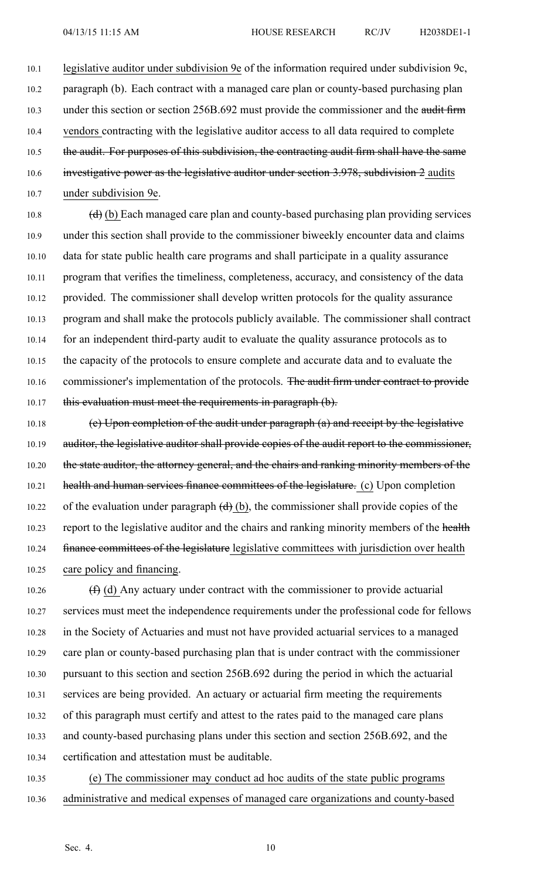10.1 legislative auditor under subdivision 9e of the information required under subdivision 9c, 10.2 paragraph (b). Each contract with <sup>a</sup> managed care plan or county-based purchasing plan 10.3 under this section or section 256B.692 must provide the commissioner and the audit firm 10.4 vendors contracting with the legislative auditor access to all data required to complete 10.5 the audit. For purposes of this subdivision, the contracting audit firm shall have the same 10.6 investigative power as the legislative auditor under section 3.978, subdivision 2 audits 10.7 under subdivision 9e.

10.8  $(d)$  (b) Each managed care plan and county-based purchasing plan providing services 10.9 under this section shall provide to the commissioner biweekly encounter data and claims 10.10 data for state public health care programs and shall participate in <sup>a</sup> quality assurance 10.11 program that verifies the timeliness, completeness, accuracy, and consistency of the data 10.12 provided. The commissioner shall develop written protocols for the quality assurance 10.13 program and shall make the protocols publicly available. The commissioner shall contract 10.14 for an independent third-party audit to evaluate the quality assurance protocols as to 10.15 the capacity of the protocols to ensure complete and accurate data and to evaluate the 10.16 commissioner's implementation of the protocols. The audit firm under contract to provide 10.17 this evaluation must meet the requirements in paragraph (b).

10.18 (e) Upon completion of the audit under paragraph (a) and receipt by the legislative 10.19 auditor, the legislative auditor shall provide copies of the audit report to the commissioner, 10.20 the state auditor, the attorney general, and the chairs and ranking minority members of the 10.21 health and human services finance committees of the legislature. (c) Upon completion 10.22 of the evaluation under paragraph  $\left(\frac{d}{d}\right)(b)$ , the commissioner shall provide copies of the 10.23 report to the legislative auditor and the chairs and ranking minority members of the health 10.24 finance committees of the legislature legislative committees with jurisdiction over health 10.25 care policy and financing.

10.26  $(f)$  (d) Any actuary under contract with the commissioner to provide actuarial 10.27 services must meet the independence requirements under the professional code for fellows 10.28 in the Society of Actuaries and must not have provided actuarial services to <sup>a</sup> managed 10.29 care plan or county-based purchasing plan that is under contract with the commissioner 10.30 pursuan<sup>t</sup> to this section and section 256B.692 during the period in which the actuarial 10.31 services are being provided. An actuary or actuarial firm meeting the requirements 10.32 of this paragraph must certify and attest to the rates paid to the managed care plans 10.33 and county-based purchasing plans under this section and section 256B.692, and the 10.34 certification and attestation must be auditable.

10.35 (e) The commissioner may conduct ad hoc audits of the state public programs 10.36 administrative and medical expenses of managed care organizations and county-based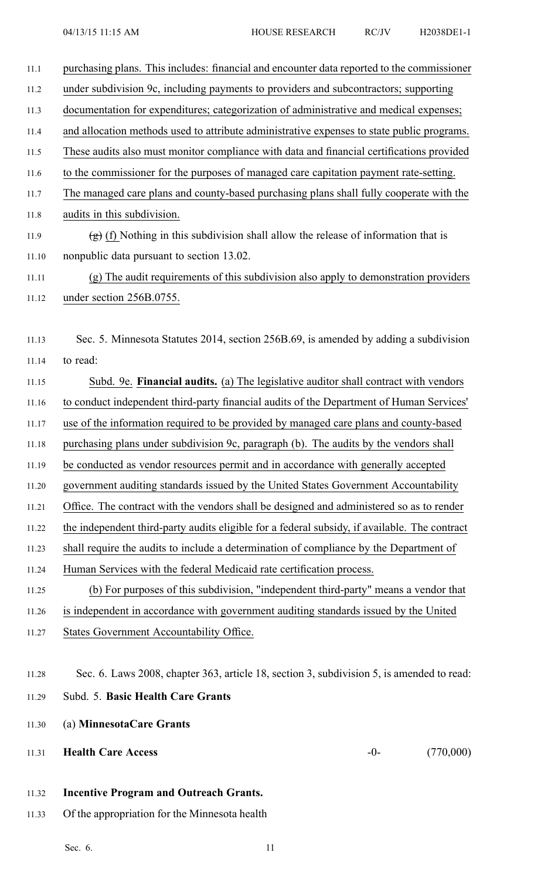- 11.1 purchasing plans. This includes: financial and encounter data reported to the commissioner 11.2 under subdivision 9c, including payments to providers and subcontractors; supporting 11.3 documentation for expenditures; categorization of administrative and medical expenses; 11.4 and allocation methods used to attribute administrative expenses to state public programs. 11.5 These audits also must monitor compliance with data and financial certifications provided 11.6 to the commissioner for the purposes of managed care capitation paymen<sup>t</sup> rate-setting. 11.7 The managed care plans and county-based purchasing plans shall fully cooperate with the 11.8 audits in this subdivision. 11.9 (g) (f) Nothing in this subdivision shall allow the release of information that is 11.10 nonpublic data pursuan<sup>t</sup> to section 13.02. 11.11 (g) The audit requirements of this subdivision also apply to demonstration providers 11.12 under section 256B.0755. 11.13 Sec. 5. Minnesota Statutes 2014, section 256B.69, is amended by adding <sup>a</sup> subdivision 11.14 to read: 11.15 Subd. 9e. **Financial audits.** (a) The legislative auditor shall contract with vendors 11.16 to conduct independent third-party financial audits of the Department of Human Services' 11.17 use of the information required to be provided by managed care plans and county-based 11.18 purchasing plans under subdivision 9c, paragraph (b). The audits by the vendors shall 11.19 be conducted as vendor resources permit and in accordance with generally accepted 11.20 governmen<sup>t</sup> auditing standards issued by the United States Government Accountability 11.21 Office. The contract with the vendors shall be designed and administered so as to render 11.22 the independent third-party audits eligible for <sup>a</sup> federal subsidy, if available. The contract 11.23 shall require the audits to include <sup>a</sup> determination of compliance by the Department of 11.24 Human Services with the federal Medicaid rate certification process. 11.25 (b) For purposes of this subdivision, "independent third-party" means <sup>a</sup> vendor that 11.26 is independent in accordance with governmen<sup>t</sup> auditing standards issued by the United 11.27 States Government Accountability Office. 11.28 Sec. 6. Laws 2008, chapter 363, article 18, section 3, subdivision 5, is amended to read: 11.29 Subd. 5. **Basic Health Care Grants** 11.30 (a) **MinnesotaCare Grants** 11.31 **Health Care Access** -0- (770,000)
	- 11.32 **Incentive Program and Outreach Grants.**
	- 11.33 Of the appropriation for the Minnesota health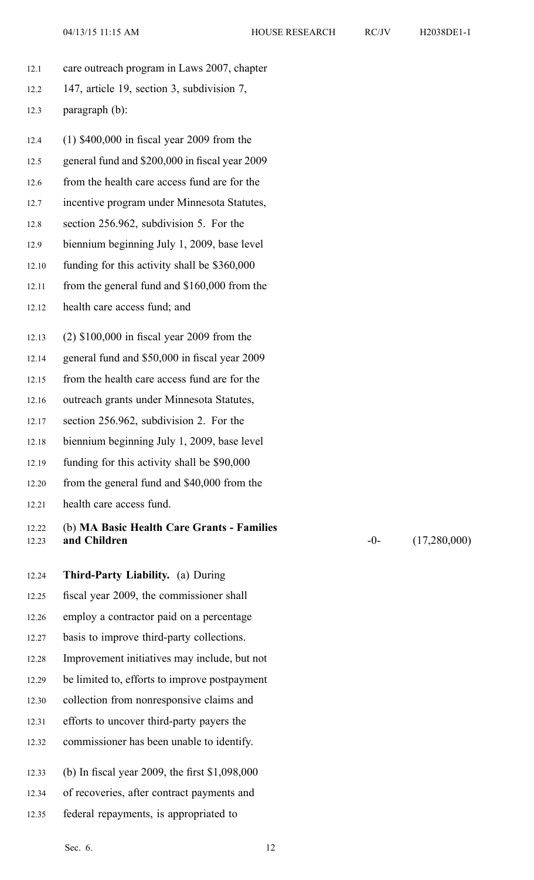- 12.1 care outreach program in Laws 2007, chapter
- 12.2 147, article 19, section 3, subdivision 7,
- 12.3 paragraph (b):
- 12.4 (1) \$400,000 in fiscal year 2009 from the
- 12.5 general fund and \$200,000 in fiscal year 2009
- 12.6 from the health care access fund are for the
- 12.7 incentive program under Minnesota Statutes,
- 12.8 section 256.962, subdivision 5. For the
- 12.9 biennium beginning July 1, 2009, base level
- 12.10 funding for this activity shall be \$360,000
- 12.11 from the general fund and \$160,000 from the
- 12.12 health care access fund; and
- 12.13 (2) \$100,000 in fiscal year 2009 from the
- 12.14 general fund and \$50,000 in fiscal year 2009
- 12.15 from the health care access fund are for the
- 12.16 outreach grants under Minnesota Statutes,
- 12.17 section 256.962, subdivision 2. For the
- 12.18 biennium beginning July 1, 2009, base level
- 12.19 funding for this activity shall be \$90,000
- 12.20 from the general fund and \$40,000 from the
- 12.21 health care access fund.

## 12.22 (b) **MA Basic Health Care Grants - Families** 12.23 **and Children** -0- (17,280,000)

- 12.24 **Third-Party Liability.** (a) During 12.25 fiscal year 2009, the commissioner shall 12.26 employ <sup>a</sup> contractor paid on <sup>a</sup> percentage 12.27 basis to improve third-party collections. 12.28 Improvement initiatives may include, but not 12.29 be limited to, efforts to improve postpayment 12.30 collection from nonresponsive claims and 12.31 efforts to uncover third-party payers the 12.32 commissioner has been unable to identify. 12.33 (b) In fiscal year 2009, the first \$1,098,000 12.34 of recoveries, after contract payments and
- 12.35 federal repayments, is appropriated to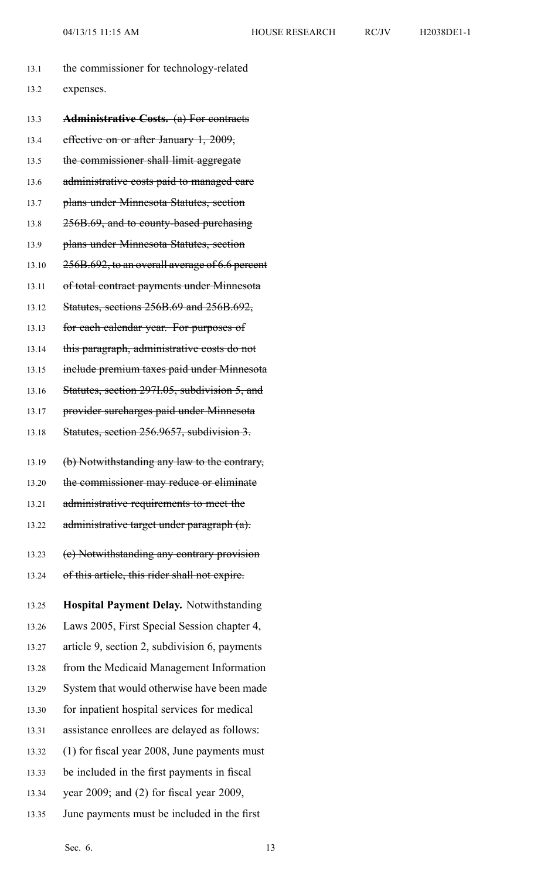| 13.1  | the commissioner for technology-related          |
|-------|--------------------------------------------------|
| 13.2  | expenses.                                        |
| 13.3  | <b>Administrative Costs.</b> (a) For contracts   |
| 13.4  | effective on or after January 1, 2009,           |
| 13.5  | the commissioner shall limit aggregate           |
| 13.6  | administrative costs paid to managed care        |
| 13.7  | plans under Minnesota Statutes, section          |
| 13.8  | 256B.69, and to county-based purchasing          |
| 13.9  | plans under Minnesota Statutes, section          |
| 13.10 | 256B.692, to an overall average of 6.6 percent   |
| 13.11 | of total contract payments under Minnesota       |
| 13.12 | <b>Statutes, sections 256B.69 and 256B.692,</b>  |
| 13.13 | for each calendar year. For purposes of          |
| 13.14 | this paragraph, administrative costs do not      |
| 13.15 | include premium taxes paid under Minnesota       |
| 13.16 | Statutes, section 2971.05, subdivision 5, and    |
| 13.17 | provider surcharges paid under Minnesota         |
| 13.18 | Statutes, section 256.9657, subdivision 3.       |
| 13.19 | (b) Notwithstanding any law to the contrary,     |
| 13.20 | the commissioner may reduce or eliminate         |
| 13.21 | administrative requirements to meet the          |
| 13.22 | administrative target under paragraph (a).       |
| 13.23 | (e) Notwithstanding any contrary provision       |
| 13.24 | of this article, this rider shall not expire.    |
| 13.25 | Hospital Payment Delay. Notwithstanding          |
| 13.26 | Laws 2005, First Special Session chapter 4,      |
| 13.27 | article 9, section 2, subdivision 6, payments    |
| 13.28 | from the Medicaid Management Information         |
| 13.29 | System that would otherwise have been made       |
| 13.30 | for inpatient hospital services for medical      |
| 13.31 | assistance enrollees are delayed as follows:     |
| 13.32 | (1) for fiscal year 2008, June payments must     |
| 13.33 | be included in the first payments in fiscal      |
| 13.34 | year $2009$ ; and $(2)$ for fiscal year $2009$ , |

13.35 June payments must be included in the first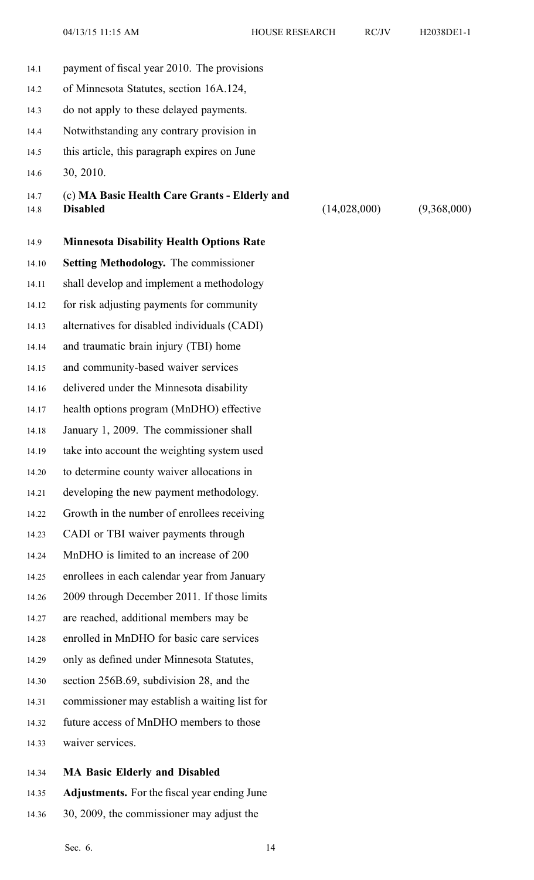04/13/15 11:15 AM HOUSE RESEARCH RC/JV H2038DE1-1

| 14.1         | payment of fiscal year 2010. The provisions                      |              |             |
|--------------|------------------------------------------------------------------|--------------|-------------|
| 14.2         | of Minnesota Statutes, section 16A.124,                          |              |             |
| 14.3         | do not apply to these delayed payments.                          |              |             |
| 14.4         | Notwithstanding any contrary provision in                        |              |             |
| 14.5         | this article, this paragraph expires on June                     |              |             |
| 14.6         | 30, 2010.                                                        |              |             |
| 14.7<br>14.8 | (c) MA Basic Health Care Grants - Elderly and<br><b>Disabled</b> | (14,028,000) | (9,368,000) |
| 14.9         | <b>Minnesota Disability Health Options Rate</b>                  |              |             |
| 14.10        | <b>Setting Methodology.</b> The commissioner                     |              |             |
| 14.11        | shall develop and implement a methodology                        |              |             |
| 14.12        | for risk adjusting payments for community                        |              |             |
| 14.13        | alternatives for disabled individuals (CADI)                     |              |             |
| 14.14        | and traumatic brain injury (TBI) home                            |              |             |
| 14.15        | and community-based waiver services                              |              |             |
| 14.16        | delivered under the Minnesota disability                         |              |             |
| 14.17        | health options program (MnDHO) effective                         |              |             |
| 14.18        | January 1, 2009. The commissioner shall                          |              |             |
| 14.19        | take into account the weighting system used                      |              |             |
| 14.20        | to determine county waiver allocations in                        |              |             |
| 14.21        | developing the new payment methodology.                          |              |             |
| 14.22        | Growth in the number of enrollees receiving                      |              |             |
| 14.23        | CADI or TBI waiver payments through                              |              |             |
| 14.24        | MnDHO is limited to an increase of 200                           |              |             |
| 14.25        | enrollees in each calendar year from January                     |              |             |
| 14.26        | 2009 through December 2011. If those limits                      |              |             |
| 14.27        | are reached, additional members may be                           |              |             |
| 14.28        | enrolled in MnDHO for basic care services                        |              |             |
| 14.29        | only as defined under Minnesota Statutes,                        |              |             |
| 14.30        | section 256B.69, subdivision 28, and the                         |              |             |
| 14.31        | commissioner may establish a waiting list for                    |              |             |
| 14.32        | future access of MnDHO members to those                          |              |             |
| 14.33        | waiver services.                                                 |              |             |
| 14.24        | MA Rasic Elderly and Disabled                                    |              |             |

- 14.34 **MA Basic Elderly and Disabled**
- 14.35 **Adjustments.** For the fiscal year ending June
- 14.36 30, 2009, the commissioner may adjust the